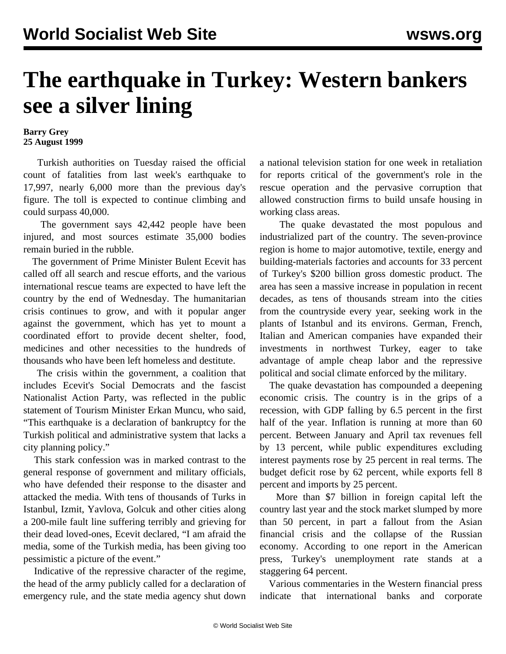## **The earthquake in Turkey: Western bankers see a silver lining**

## **Barry Grey 25 August 1999**

 Turkish authorities on Tuesday raised the official count of fatalities from last week's earthquake to 17,997, nearly 6,000 more than the previous day's figure. The toll is expected to continue climbing and could surpass 40,000.

 The government says 42,442 people have been injured, and most sources estimate 35,000 bodies remain buried in the rubble.

 The government of Prime Minister Bulent Ecevit has called off all search and rescue efforts, and the various international rescue teams are expected to have left the country by the end of Wednesday. The humanitarian crisis continues to grow, and with it popular anger against the government, which has yet to mount a coordinated effort to provide decent shelter, food, medicines and other necessities to the hundreds of thousands who have been left homeless and destitute.

 The crisis within the government, a coalition that includes Ecevit's Social Democrats and the fascist Nationalist Action Party, was reflected in the public statement of Tourism Minister Erkan Muncu, who said, "This earthquake is a declaration of bankruptcy for the Turkish political and administrative system that lacks a city planning policy."

 This stark confession was in marked contrast to the general response of government and military officials, who have defended their response to the disaster and attacked the media. With tens of thousands of Turks in Istanbul, Izmit, Yavlova, Golcuk and other cities along a 200-mile fault line suffering terribly and grieving for their dead loved-ones, Ecevit declared, "I am afraid the media, some of the Turkish media, has been giving too pessimistic a picture of the event."

 Indicative of the repressive character of the regime, the head of the army publicly called for a declaration of emergency rule, and the state media agency shut down a national television station for one week in retaliation for reports critical of the government's role in the rescue operation and the pervasive corruption that allowed construction firms to build unsafe housing in working class areas.

 The quake devastated the most populous and industrialized part of the country. The seven-province region is home to major automotive, textile, energy and building-materials factories and accounts for 33 percent of Turkey's \$200 billion gross domestic product. The area has seen a massive increase in population in recent decades, as tens of thousands stream into the cities from the countryside every year, seeking work in the plants of Istanbul and its environs. German, French, Italian and American companies have expanded their investments in northwest Turkey, eager to take advantage of ample cheap labor and the repressive political and social climate enforced by the military.

 The quake devastation has compounded a deepening economic crisis. The country is in the grips of a recession, with GDP falling by 6.5 percent in the first half of the year. Inflation is running at more than 60 percent. Between January and April tax revenues fell by 13 percent, while public expenditures excluding interest payments rose by 25 percent in real terms. The budget deficit rose by 62 percent, while exports fell 8 percent and imports by 25 percent.

 More than \$7 billion in foreign capital left the country last year and the stock market slumped by more than 50 percent, in part a fallout from the Asian financial crisis and the collapse of the Russian economy. According to one report in the American press, Turkey's unemployment rate stands at a staggering 64 percent.

 Various commentaries in the Western financial press indicate that international banks and corporate